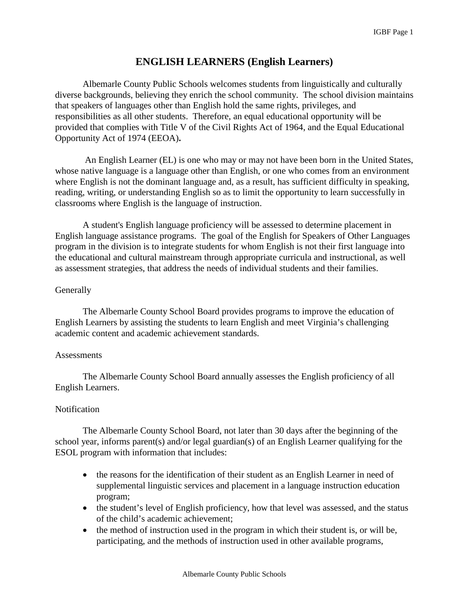## **ENGLISH LEARNERS (English Learners)**

Albemarle County Public Schools welcomes students from linguistically and culturally diverse backgrounds, believing they enrich the school community. The school division maintains that speakers of languages other than English hold the same rights, privileges, and responsibilities as all other students. Therefore, an equal educational opportunity will be provided that complies with Title V of the Civil Rights Act of 1964, and the Equal Educational Opportunity Act of 1974 (EEOA)**.**

An English Learner (EL) is one who may or may not have been born in the United States, whose native language is a language other than English, or one who comes from an environment where English is not the dominant language and, as a result, has sufficient difficulty in speaking, reading, writing, or understanding English so as to limit the opportunity to learn successfully in classrooms where English is the language of instruction.

A student's English language proficiency will be assessed to determine placement in English language assistance programs. The goal of the English for Speakers of Other Languages program in the division is to integrate students for whom English is not their first language into the educational and cultural mainstream through appropriate curricula and instructional, as well as assessment strategies, that address the needs of individual students and their families.

## **Generally**

The Albemarle County School Board provides programs to improve the education of English Learners by assisting the students to learn English and meet Virginia's challenging academic content and academic achievement standards.

## **Assessments**

The Albemarle County School Board annually assesses the English proficiency of all English Learners.

## Notification

The Albemarle County School Board, not later than 30 days after the beginning of the school year, informs parent(s) and/or legal guardian(s) of an English Learner qualifying for the ESOL program with information that includes:

- the reasons for the identification of their student as an English Learner in need of supplemental linguistic services and placement in a language instruction education program;
- the student's level of English proficiency, how that level was assessed, and the status of the child's academic achievement;
- the method of instruction used in the program in which their student is, or will be, participating, and the methods of instruction used in other available programs,